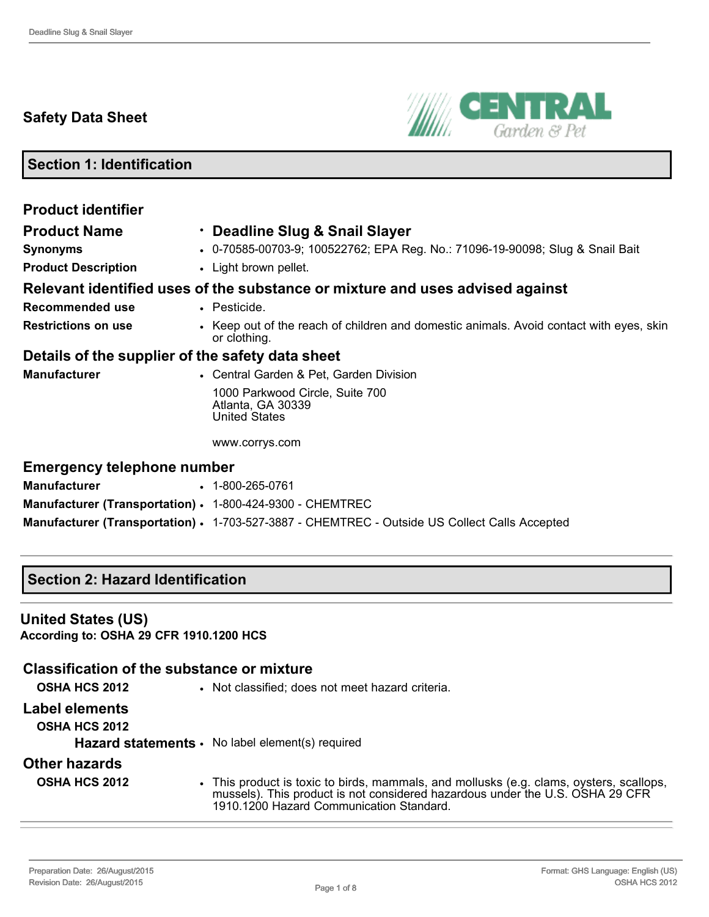# **Safety Data Sheet**



**Section 1: Identification**

| <b>Product identifier</b>                                 |                                                                                                         |
|-----------------------------------------------------------|---------------------------------------------------------------------------------------------------------|
| <b>Product Name</b>                                       | · Deadline Slug & Snail Slayer                                                                          |
| <b>Synonyms</b>                                           | • 0-70585-00703-9; 100522762; EPA Reg. No.: 71096-19-90098; Slug & Snail Bait                           |
| <b>Product Description</b>                                | • Light brown pellet.                                                                                   |
|                                                           | Relevant identified uses of the substance or mixture and uses advised against                           |
| <b>Recommended use</b>                                    | • Pesticide.                                                                                            |
| <b>Restrictions on use</b>                                | • Keep out of the reach of children and domestic animals. Avoid contact with eyes, skin<br>or clothing. |
| Details of the supplier of the safety data sheet          |                                                                                                         |
| <b>Manufacturer</b>                                       | • Central Garden & Pet, Garden Division                                                                 |
|                                                           | 1000 Parkwood Circle, Suite 700<br>Atlanta, GA 30339<br><b>United States</b>                            |
|                                                           | www.corrys.com                                                                                          |
| <b>Emergency telephone number</b>                         |                                                                                                         |
| <b>Manufacturer</b>                                       | $\cdot$ 1-800-265-0761                                                                                  |
| Manufacturer (Transportation) · 1-800-424-9300 - CHEMTREC |                                                                                                         |
|                                                           | Manufacturer (Transportation) • 1-703-527-3887 - CHEMTREC - Outside US Collect Calls Accepted           |

## **Section 2: Hazard Identification**

#### **United States (US)**

**According to: OSHA 29 CFR 1910.1200 HCS**

## **Classification of the substance or mixture**

**OSHA HCS 2012** • Not classified; does not meet hazard criteria.

# **Label elements**

**OSHA HCS 2012**

**Hazard statements** • No label element(s) required

## **Other hazards**

| OSHA HCS 2012 | This product is toxic to birds, mammals, and mollusks (e.g. clams, oysters, scallops, |
|---------------|---------------------------------------------------------------------------------------|
|               | mussels). This product is not considered hazardous under the U.S. OSHA 29 CFR         |
|               | 1910.1200 Hazard Communication Standard.                                              |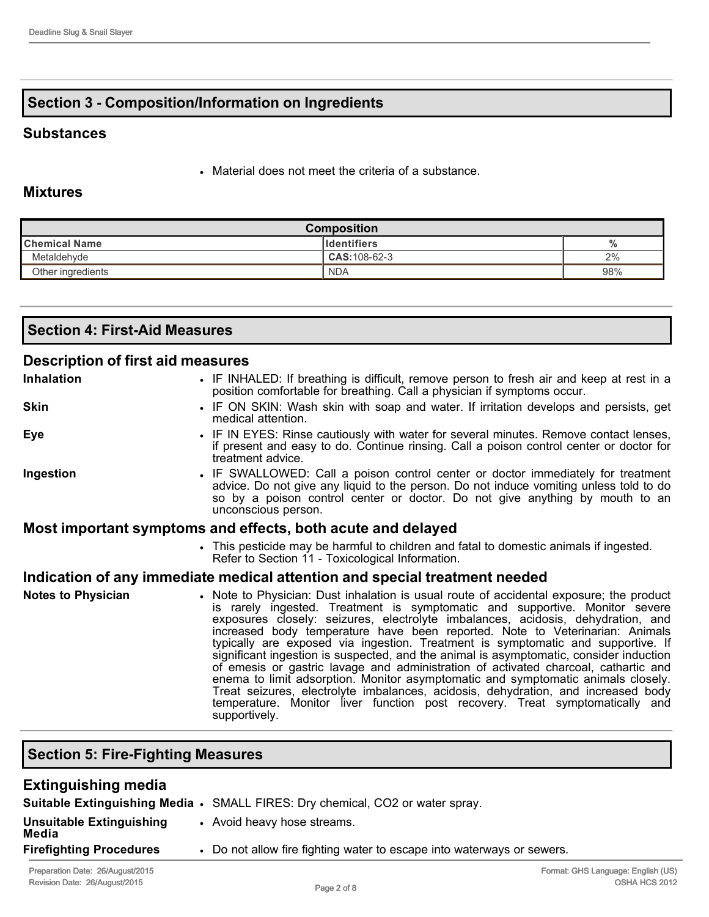# **Section 3 Composition/Information on Ingredients**

#### **Substances**

• Material does not meet the criteria of a substance.

### **Mixtures**

| <b>Composition</b>                        |                |     |  |  |  |  |
|-------------------------------------------|----------------|-----|--|--|--|--|
| <b>Identifiers</b><br>∥Chemical Name<br>% |                |     |  |  |  |  |
| Metaldehyde                               | $CAS:108-62-3$ | 2%  |  |  |  |  |
| Other ingredients                         | <b>NDA</b>     | 98% |  |  |  |  |

| Section 4: First-Aid Measures     |  |  |  |  |  |  |  |
|-----------------------------------|--|--|--|--|--|--|--|
| Description of first aid measures |  |  |  |  |  |  |  |
| .                                 |  |  |  |  |  |  |  |

| <b>Inhalation</b>         | • IF INHALED: If breathing is difficult, remove person to fresh air and keep at rest in a<br>position comfortable for breathing. Call a physician if symptoms occur.                                                                                                                                                                                                                                                                                                                                                                                                                                                                                                                                                                                                                                                                                                                     |  |  |  |
|---------------------------|------------------------------------------------------------------------------------------------------------------------------------------------------------------------------------------------------------------------------------------------------------------------------------------------------------------------------------------------------------------------------------------------------------------------------------------------------------------------------------------------------------------------------------------------------------------------------------------------------------------------------------------------------------------------------------------------------------------------------------------------------------------------------------------------------------------------------------------------------------------------------------------|--|--|--|
| <b>Skin</b>               | • IF ON SKIN: Wash skin with soap and water. If irritation develops and persists, get<br>medical attention.                                                                                                                                                                                                                                                                                                                                                                                                                                                                                                                                                                                                                                                                                                                                                                              |  |  |  |
| Eye                       | • IF IN EYES: Rinse cautiously with water for several minutes. Remove contact lenses,<br>if present and easy to do. Continue rinsing. Call a poison control center or doctor for<br>treatment advice.                                                                                                                                                                                                                                                                                                                                                                                                                                                                                                                                                                                                                                                                                    |  |  |  |
| Ingestion                 | • IF SWALLOWED: Call a poison control center or doctor immediately for treatment<br>advice. Do not give any liquid to the person. Do not induce vomiting unless told to do<br>so by a poison control center or doctor. Do not give anything by mouth to an<br>unconscious person.                                                                                                                                                                                                                                                                                                                                                                                                                                                                                                                                                                                                        |  |  |  |
|                           | Most important symptoms and effects, both acute and delayed                                                                                                                                                                                                                                                                                                                                                                                                                                                                                                                                                                                                                                                                                                                                                                                                                              |  |  |  |
|                           | . This pesticide may be harmful to children and fatal to domestic animals if ingested.<br>Refer to Section 11 - Toxicological Information.                                                                                                                                                                                                                                                                                                                                                                                                                                                                                                                                                                                                                                                                                                                                               |  |  |  |
|                           | Indication of any immediate medical attention and special treatment needed                                                                                                                                                                                                                                                                                                                                                                                                                                                                                                                                                                                                                                                                                                                                                                                                               |  |  |  |
| <b>Notes to Physician</b> | • Note to Physician: Dust inhalation is usual route of accidental exposure; the product<br>is rarely ingested. Treatment is symptomatic and supportive. Monitor severe<br>exposures closely: seizures, electrolyte imbalances, acidosis, dehydration, and<br>increased body temperature have been reported. Note to Veterinarian: Animals<br>typically are exposed via ingestion. Treatment is symptomatic and supportive. If<br>significant ingestion is suspected, and the animal is asymptomatic, consider induction<br>of emesis or gastric lavage and administration of activated charcoal, cathartic and<br>enema to limit adsorption. Monitor asymptomatic and symptomatic animals closely.<br>Treat seizures, electrolyte imbalances, acidosis, dehydration, and increased body<br>temperature. Monitor liver function post recovery. Treat symptomatically and<br>supportively. |  |  |  |

# **Section 5: Fire-Fighting Measures**

| <b>Extinguishing media</b>               |                                                                               |
|------------------------------------------|-------------------------------------------------------------------------------|
|                                          | Suitable Extinguishing Media • SMALL FIRES: Dry chemical, CO2 or water spray. |
| <b>Unsuitable Extinguishing</b><br>Media | • Avoid heavy hose streams.                                                   |
| <b>Firefighting Procedures</b>           | • Do not allow fire fighting water to escape into waterways or sewers.        |
|                                          |                                                                               |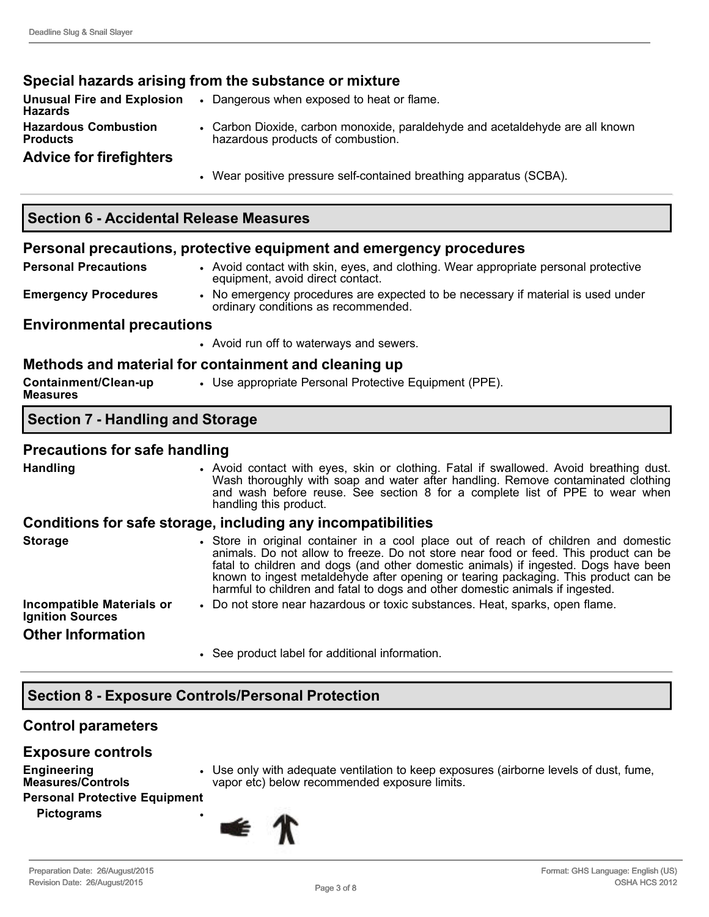### **Special hazards arising from the substance or mixture**

| <b>Unusual Fire and Explosion</b><br>Hazards | $\bullet$ | Dangerous when exposed to heat or flame.                                                                           |
|----------------------------------------------|-----------|--------------------------------------------------------------------------------------------------------------------|
| <b>Hazardous Combustion</b><br>Products      |           | • Carbon Dioxide, carbon monoxide, paraldehyde and acetaldehyde are all known<br>hazardous products of combustion. |
| <b>Advice for firefighters</b>               |           |                                                                                                                    |
|                                              |           | • Wear positive pressure self-contained breathing apparatus (SCBA).                                                |

### **Section 6 Accidental Release Measures**

### **Personal precautions, protective equipment and emergency procedures**

- **Personal Precautions** Avoid contact with skin, eyes, and clothing. Wear appropriate personal protective equipment, avoid direct contact. **Emergency Procedures** • No emergency procedures are expected to be necessary if material is used under
	- ordinary conditions as recommended.

#### **Environmental precautions**

• Avoid run off to waterways and sewers.

### **Methods and material for containment and cleaning up**

| Containment/Clean-up<br>Measures | • Use appropriate Personal Protective Equipment (PPE). |
|----------------------------------|--------------------------------------------------------|
|----------------------------------|--------------------------------------------------------|

### **Section 7 Handling and Storage**

#### **Precautions for safe handling**

| <b>Handling</b>                                             | . Avoid contact with eyes, skin or clothing. Fatal if swallowed. Avoid breathing dust.<br>Wash thoroughly with soap and water after handling. Remove contaminated clothing<br>and wash before reuse. See section 8 for a complete list of PPE to wear when<br>handling this product.                                                                                                                                                       |
|-------------------------------------------------------------|--------------------------------------------------------------------------------------------------------------------------------------------------------------------------------------------------------------------------------------------------------------------------------------------------------------------------------------------------------------------------------------------------------------------------------------------|
|                                                             | Conditions for safe storage, including any incompatibilities                                                                                                                                                                                                                                                                                                                                                                               |
| <b>Storage</b>                                              | • Store in original container in a cool place out of reach of children and domestic<br>animals. Do not allow to freeze. Do not store near food or feed. This product can be<br>fatal to children and dogs (and other domestic animals) if ingested. Dogs have been<br>known to ingest metaldehyde after opening or tearing packaging. This product can be<br>harmful to children and fatal to dogs and other domestic animals if ingested. |
| <b>Incompatible Materials or</b><br><b>Ignition Sources</b> | . Do not store near hazardous or toxic substances. Heat, sparks, open flame.                                                                                                                                                                                                                                                                                                                                                               |
| <b>Other Information</b>                                    |                                                                                                                                                                                                                                                                                                                                                                                                                                            |
|                                                             | • See product label for additional information.                                                                                                                                                                                                                                                                                                                                                                                            |

## **Section 8 Exposure Controls/Personal Protection**

### **Control parameters**

#### **Exposure controls**

- **Engineering Measures/Controls**
- Use only with adequate ventilation to keep exposures (airborne levels of dust, fume, vapor etc) below recommended exposure limits.

#### **Personal Protective Equipment**

**Pictograms** •

⊯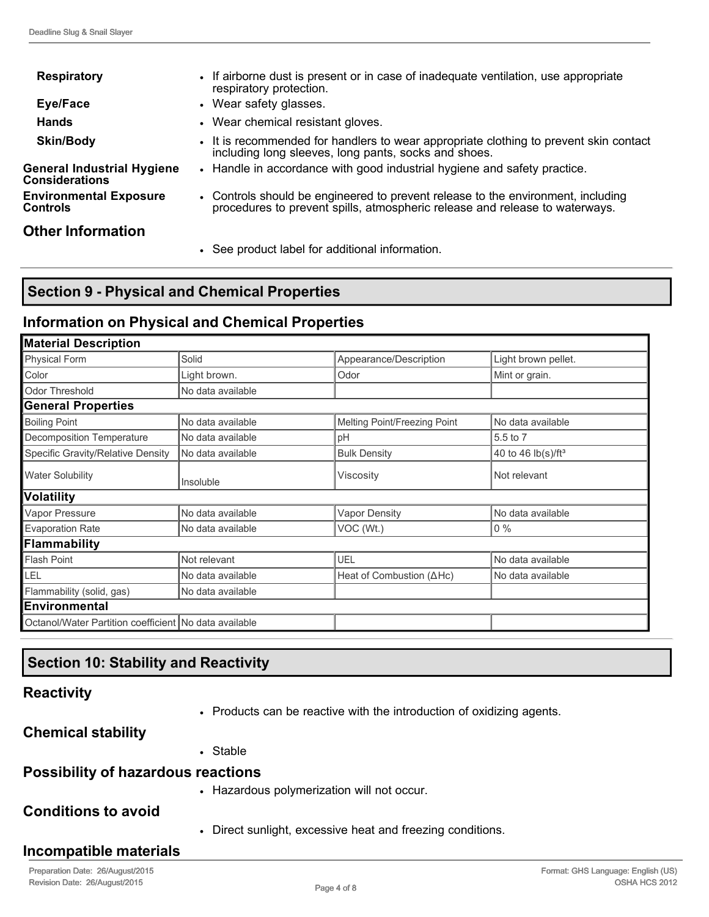| <b>Respiratory</b>                           | • If airborne dust is present or in case of inadequate ventilation, use appropriate<br>respiratory protection.                                                  |
|----------------------------------------------|-----------------------------------------------------------------------------------------------------------------------------------------------------------------|
| Eye/Face                                     | • Wear safety glasses.                                                                                                                                          |
| <b>Hands</b>                                 | • Wear chemical resistant gloves.                                                                                                                               |
| <b>Skin/Body</b>                             | • It is recommended for handlers to wear appropriate clothing to prevent skin contact<br>including long sleeves, long pants, socks and shoes.                   |
| General Industrial Hygiene<br>Considerations | • Handle in accordance with good industrial hygiene and safety practice.                                                                                        |
| <b>Environmental Exposure</b><br>Controls    | • Controls should be engineered to prevent release to the environment, including<br>procedures to prevent spills, atmospheric release and release to waterways. |
| <b>Other Information</b>                     |                                                                                                                                                                 |
|                                              | • See product label for additional information.                                                                                                                 |

# **Section 9 Physical and Chemical Properties**

### **Information on Physical and Chemical Properties**

| <b>Material Description</b>                           |                   |                                  |                                |  |  |  |  |
|-------------------------------------------------------|-------------------|----------------------------------|--------------------------------|--|--|--|--|
| Physical Form                                         | Solid             | Appearance/Description           | Light brown pellet.            |  |  |  |  |
| Color                                                 | Light brown.      | Odor                             | Mint or grain.                 |  |  |  |  |
| Odor Threshold                                        | No data available |                                  |                                |  |  |  |  |
| <b>General Properties</b>                             |                   |                                  |                                |  |  |  |  |
| <b>Boiling Point</b>                                  | No data available | Melting Point/Freezing Point     | No data available              |  |  |  |  |
| Decomposition Temperature                             | No data available | pH                               | 5.5 to 7                       |  |  |  |  |
| Specific Gravity/Relative Density                     | No data available | <b>Bulk Density</b>              | 40 to 46 lb(s)/ft <sup>3</sup> |  |  |  |  |
| <b>Water Solubility</b>                               | Insoluble         | Viscosity                        | Not relevant                   |  |  |  |  |
| Volatility                                            |                   |                                  |                                |  |  |  |  |
| Vapor Pressure                                        | No data available | <b>Vapor Density</b>             | No data available              |  |  |  |  |
| <b>Evaporation Rate</b>                               | No data available | VOC (Wt.)                        | $0\%$                          |  |  |  |  |
| Flammability                                          |                   |                                  |                                |  |  |  |  |
| <b>Flash Point</b>                                    | Not relevant      | UEL                              | No data available              |  |  |  |  |
| LEL                                                   | No data available | Heat of Combustion $(\Delta Hc)$ | No data available              |  |  |  |  |
| Flammability (solid, gas)                             | No data available |                                  |                                |  |  |  |  |
| <b>Environmental</b>                                  |                   |                                  |                                |  |  |  |  |
| Octanol/Water Partition coefficient No data available |                   |                                  |                                |  |  |  |  |

# **Section 10: Stability and Reactivity**

### **Reactivity**

• Products can be reactive with the introduction of oxidizing agents.

### **Chemical stability**

• Stable

## **Possibility of hazardous reactions**

• Hazardous polymerization will not occur.

### **Conditions to avoid**

• Direct sunlight, excessive heat and freezing conditions.

## **Incompatible materials**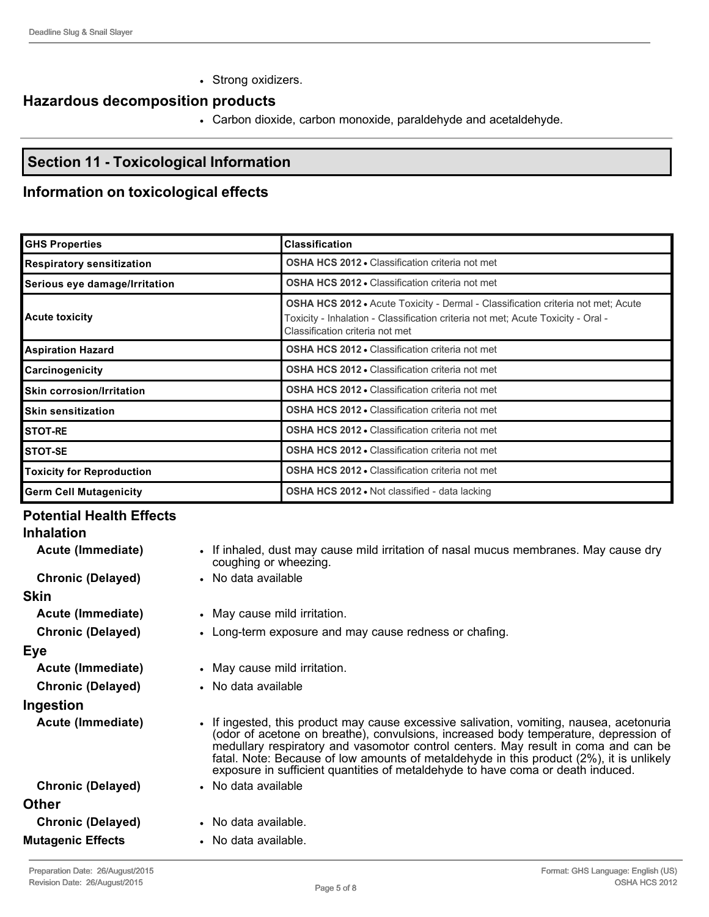• Strong oxidizers.

# **Hazardous decomposition products**

• Carbon dioxide, carbon monoxide, paraldehyde and acetaldehyde.

# **Section 11 Toxicological Information**

# **Information on toxicological effects**

| <b>GHS Properties</b>              | <b>Classification</b>                                                                                                                                                                                   |
|------------------------------------|---------------------------------------------------------------------------------------------------------------------------------------------------------------------------------------------------------|
| <b>Respiratory sensitization</b>   | <b>OSHA HCS 2012 - Classification criteria not met</b>                                                                                                                                                  |
| Serious eye damage/Irritation      | <b>OSHA HCS 2012 • Classification criteria not met</b>                                                                                                                                                  |
| Acute toxicity                     | OSHA HCS 2012 · Acute Toxicity - Dermal - Classification criteria not met; Acute<br>Toxicity - Inhalation - Classification criteria not met; Acute Toxicity - Oral -<br>Classification criteria not met |
| <b>Aspiration Hazard</b>           | <b>OSHA HCS 2012 • Classification criteria not met</b>                                                                                                                                                  |
| <b>Carcinogenicity</b>             | <b>OSHA HCS 2012 • Classification criteria not met</b>                                                                                                                                                  |
| <b>I</b> Skin corrosion/Irritation | OSHA HCS 2012 . Classification criteria not met                                                                                                                                                         |
| <b>I</b> Skin sensitization        | <b>OSHA HCS 2012 • Classification criteria not met</b>                                                                                                                                                  |
| <b>ISTOT-RE</b>                    | <b>OSHA HCS 2012 • Classification criteria not met</b>                                                                                                                                                  |
| <b>I</b> STOT-SE                   | <b>OSHA HCS 2012 • Classification criteria not met</b>                                                                                                                                                  |
| Toxicity for Reproduction          | <b>OSHA HCS 2012 • Classification criteria not met</b>                                                                                                                                                  |
| <b>Germ Cell Mutagenicity</b>      | <b>OSHA HCS 2012 • Not classified - data lacking</b>                                                                                                                                                    |

### **Potential Health Effects Inhalation Acute (Immediate)** • If inhaled, dust may cause mild irritation of nasal mucus membranes. May cause dry coughing or wheezing. **Chronic (Delayed)** • No data available **Skin Acute (Immediate)** • May cause mild irritation. **Chronic (Delayed) • Long-term exposure and may cause redness or chafing. Eye Acute (Immediate)** • May cause mild irritation. **Chronic (Delayed)** • No data available **Ingestion Acute (Immediate)** • If ingested, this product may cause excessive salivation, vomiting, nausea, acetonuria (odor of acetone on breathe), convulsions, increased body temperature, depression of medullary respiratory and vasomotor control centers. May result in coma and can be fatal. Note: Because of low amounts of metaldehyde in this product (2%), it is unlikely exposure in sufficient quantities of metaldehyde to have coma or death induced. **Chronic (Delayed)** • No data available **Other Chronic (Delayed)** • No data available.

- **Mutagenic Effects** No data available.
	-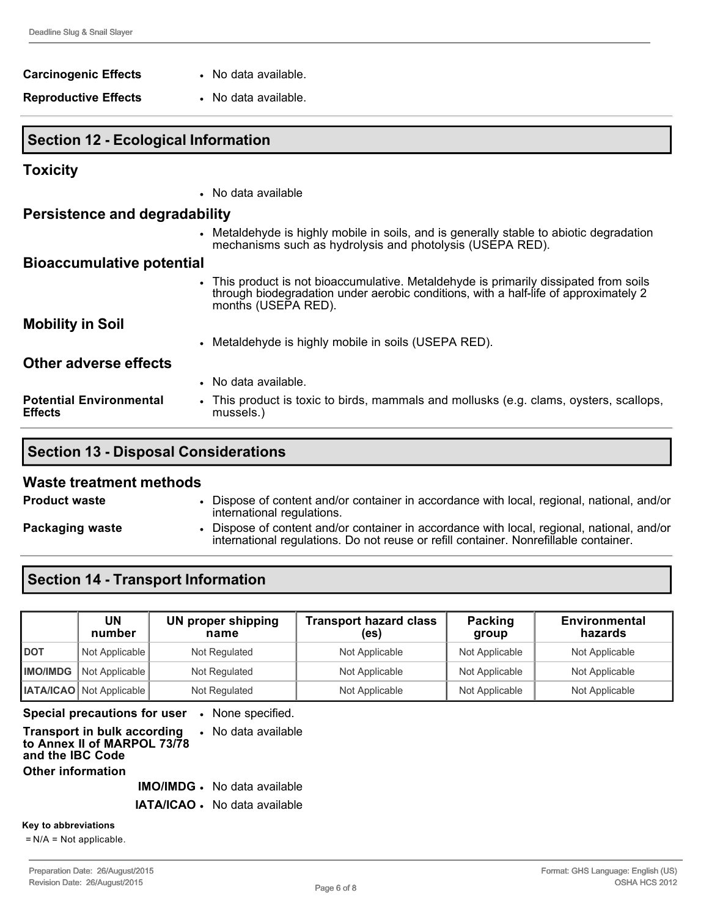| <b>Carcinogenic Effects</b>                | • No data available.                                                                                                                                                                                 |
|--------------------------------------------|------------------------------------------------------------------------------------------------------------------------------------------------------------------------------------------------------|
| <b>Reproductive Effects</b>                | • No data available.                                                                                                                                                                                 |
| <b>Section 12 - Ecological Information</b> |                                                                                                                                                                                                      |
| <b>Toxicity</b>                            |                                                                                                                                                                                                      |
|                                            | • No data available                                                                                                                                                                                  |
| Persistence and degradability              |                                                                                                                                                                                                      |
|                                            | • Metaldehyde is highly mobile in soils, and is generally stable to abiotic degradation<br>mechanisms such as hydrolysis and photolysis (USEPA RED).                                                 |
| <b>Bioaccumulative potential</b>           |                                                                                                                                                                                                      |
|                                            | • This product is not bioaccumulative. Metaldehyde is primarily dissipated from soils<br>through biodegradation under aerobic conditions, with a half-life of approximately 2<br>months (USEPA RED). |
| <b>Mobility in Soil</b>                    |                                                                                                                                                                                                      |
|                                            | • Metaldehyde is highly mobile in soils (USEPA RED).                                                                                                                                                 |
| <b>Other adverse effects</b>               |                                                                                                                                                                                                      |

|                                                  | • No data available.                                                                                |
|--------------------------------------------------|-----------------------------------------------------------------------------------------------------|
| <b>Potential Environmental</b><br><b>Effects</b> | • This product is toxic to birds, mammals and mollusks (e.g. clams, oysters, scallops,<br>mussels.) |

# **Section 13 - Disposal Considerations**

#### **Waste treatment methods**

| <b>Product waste</b> | Dispose of content and/or container in accordance with local, regional, national, and/or<br>international regulations.                                                            |
|----------------------|-----------------------------------------------------------------------------------------------------------------------------------------------------------------------------------|
| Packaging waste      | Dispose of content and/or container in accordance with local, regional, national, and/or<br>international regulations. Do not reuse or refill container. Nonrefillable container. |

# **Section 14 - Transport Information**

|            | UN<br>number                     | <b>UN proper shipping</b><br>name | <b>Transport hazard class</b><br>(es) | Packing<br>group | <b>Environmental</b><br>hazards |
|------------|----------------------------------|-----------------------------------|---------------------------------------|------------------|---------------------------------|
| <b>DOT</b> | Not Applicable                   | Not Regulated                     | Not Applicable                        | Not Applicable   | Not Applicable                  |
|            | <b>IMO/IMDG</b>   Not Applicable | Not Regulated                     | Not Applicable                        | Not Applicable   | Not Applicable                  |
|            | <b>IATA/ICAO</b> Not Applicable  | Not Regulated                     | Not Applicable                        | Not Applicable   | Not Applicable                  |

**Special precautions for user** • None specified.

| <b>Transport in bulk according • No data available</b><br>to Annex II of MARPOL 73/78<br>and the IBC Code |  |
|-----------------------------------------------------------------------------------------------------------|--|
| <b>Other information</b>                                                                                  |  |
|                                                                                                           |  |

**IMO/IMDG** • No data available

**IATA/ICAO** • No data available

**Key to abbreviations**

= N/A = Not applicable.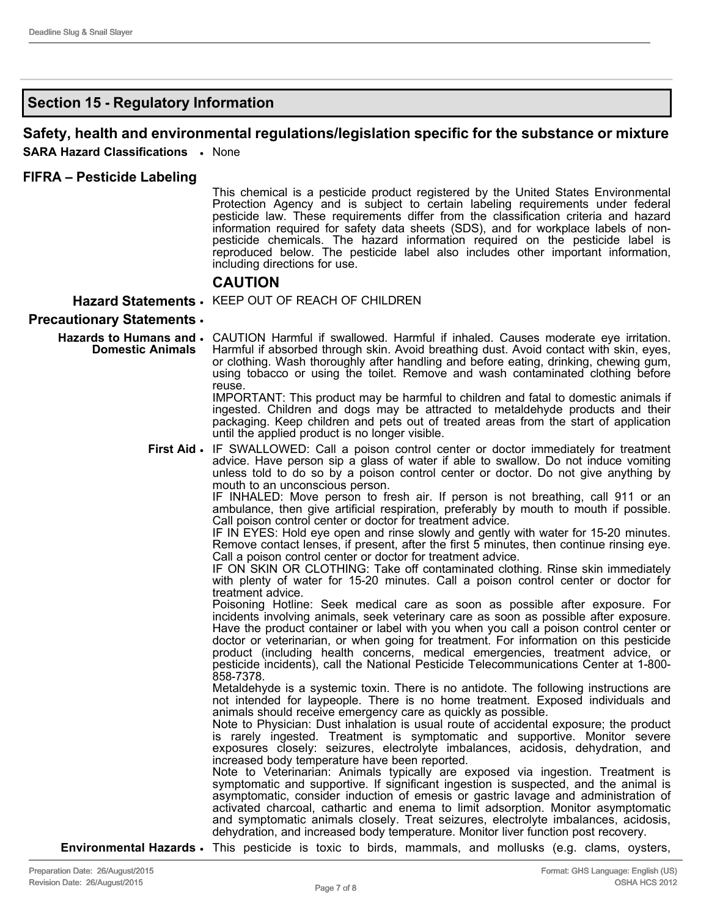## **Section 15 Regulatory Information**

### **Safety, health and environmental regulations/legislation specific for the substance or mixture**

**SARA Hazard Classifications** • None

#### **FIFRA – Pesticide Labeling**

This chemical is a pesticide product registered by the United States Environmental Protection Agency and is subject to certain labeling requirements under federal pesticide law. These requirements differ from the classification criteria and hazard information required for safety data sheets (SDS), and for workplace labels of nonpesticide chemicals. The hazard information required on the pesticide label is reproduced below. The pesticide label also includes other important information, including directions for use.

#### **CAUTION**

#### **Hazard Statements** • KEEP OUT OF REACH OF CHILDREN

#### **Precautionary Statements** •

Hazards to Humans and . CAUTION Harmful if swallowed. Harmful if inhaled. Causes moderate eye irritation. **Domestic Animals** Harmful if absorbed through skin. Avoid breathing dust. Avoid contact with skin, eyes, or clothing. Wash thoroughly after handling and before eating, drinking, chewing gum, using tobacco or using the toilet. Remove and wash contaminated clothing before reuse.

IMPORTANT: This product may be harmful to children and fatal to domestic animals if ingested. Children and dogs may be attracted to metaldehyde products and their packaging. Keep children and pets out of treated areas from the start of application until the applied product is no longer visible.

**First Aid •** IF SWALLOWED: Call a poison control center or doctor immediately for treatment advice. Have person sip a glass of water if able to swallow. Do not induce vomiting unless told to do so by a poison control center or doctor. Do not give anything by mouth to an unconscious person.

IF INHALED: Move person to fresh air. If person is not breathing, call 911 or an ambulance, then give artificial respiration, preferably by mouth to mouth if possible. Call poison control center or doctor for treatment advice.

IF IN EYES: Hold eye open and rinse slowly and gently with water for 15-20 minutes. Remove contact lenses, if present, after the first 5 minutes, then continue rinsing eye. Call a poison control center or doctor for treatment advice.

IF ON SKIN OR CLOTHING: Take off contaminated clothing. Rinse skin immediately with plenty of water for 15-20 minutes. Call a poison control center or doctor for treatment advice.

Poisoning Hotline: Seek medical care as soon as possible after exposure. For incidents involving animals, seek veterinary care as soon as possible after exposure. Have the product container or label with you when you call a poison control center or doctor or veterinarian, or when going for treatment. For information on this pesticide product (including health concerns, medical emergencies, treatment advice, or pesticide incidents), call the National Pesticide Telecommunications Center at 1800 858-7378.

Metaldehyde is a systemic toxin. There is no antidote. The following instructions are not intended for laypeople. There is no home treatment. Exposed individuals and animals should receive emergency care as quickly as possible.

Note to Physician: Dust inhalation is usual route of accidental exposure; the product is rarely ingested. Treatment is symptomatic and supportive. Monitor severe exposures closely: seizures, electrolyte imbalances, acidosis, dehydration, and increased body temperature have been reported.

Note to Veterinarian: Animals typically are exposed via ingestion. Treatment is symptomatic and supportive. If significant ingestion is suspected, and the animal is asymptomatic, consider induction of emesis or gastric lavage and administration of activated charcoal, cathartic and enema to limit adsorption. Monitor asymptomatic and symptomatic animals closely. Treat seizures, electrolyte imbalances, acidosis, dehydration, and increased body temperature. Monitor liver function post recovery.

**Environmental Hazards** • This pesticide is toxic to birds, mammals, and mollusks (e.g. clams, oysters,